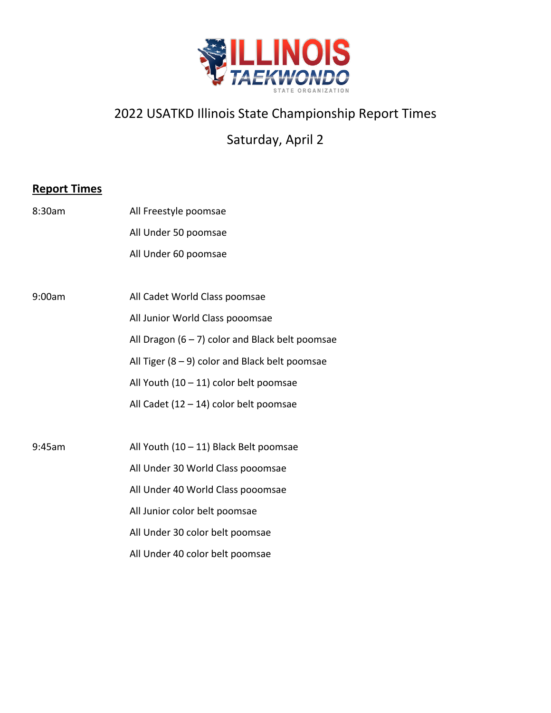

## 2022 USATKD Illinois State Championship Report Times

Saturday, April 2

## **Report Times**

| 8:30am | All Freestyle poomsae                             |
|--------|---------------------------------------------------|
|        | All Under 50 poomsae                              |
|        | All Under 60 poomsae                              |
|        |                                                   |
| 9:00am | All Cadet World Class poomsae                     |
|        | All Junior World Class pooomsae                   |
|        | All Dragon $(6 - 7)$ color and Black belt poomsae |
|        | All Tiger $(8 - 9)$ color and Black belt poomsae  |
|        | All Youth $(10 - 11)$ color belt poomsae          |
|        | All Cadet $(12 - 14)$ color belt poomsae          |
|        |                                                   |
| 9:45am | All Youth (10 - 11) Black Belt poomsae            |
|        | All Under 30 World Class pooomsae                 |
|        | All Under 40 World Class pooomsae                 |
|        | All Junior color belt poomsae                     |
|        | All Under 30 color belt poomsae                   |
|        | All Under 40 color belt poomsae                   |